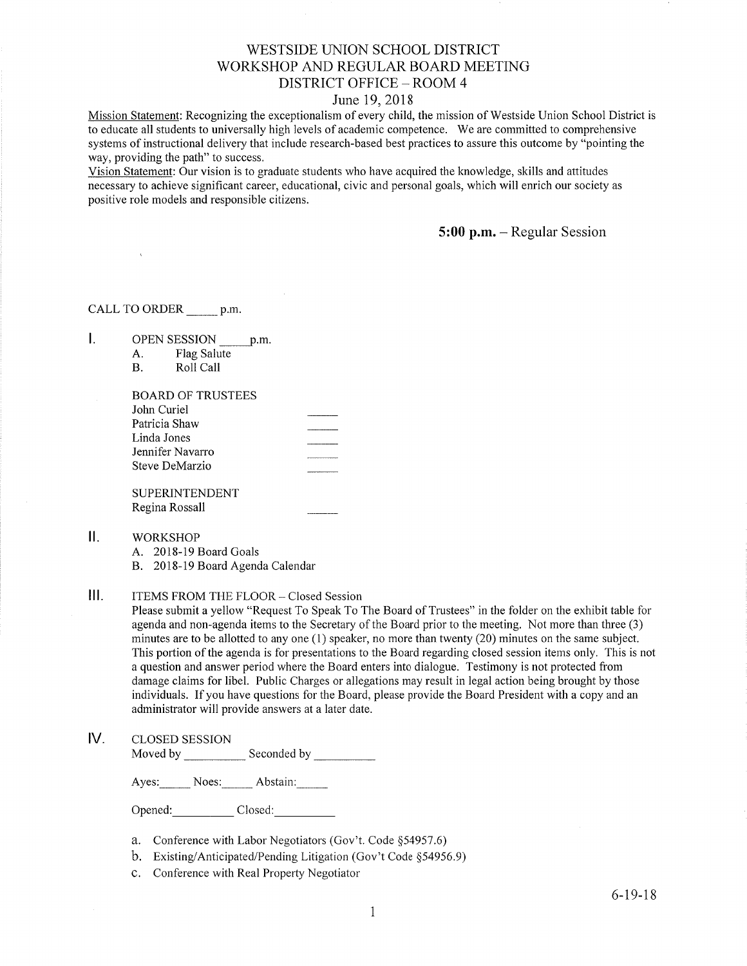#### WESTSIDE UNION SCHOOL DISTRICT WORKSHOP AND REGULAR BOARD MEETING DISTRICT OFFICE - ROOM 4

#### June 19,2018

Mission Statement: Recognizing the exceptionalism of every child, the mission of Westside Union School District is to educate all students to universally high levels of academic competence. We are committed to comprehensive systems of instructional delivery that include research-based best practices to assure this outcome by "pointing the way, providing the path" to success.

Vision Statement: Our vision is to graduate students who have acquired the knowledge, skills and attitudes necessary to achieve signifrcant career, educational, civic and personal goals, which will enrich our society as positive role models and responsible citizens.

5:00 p.m. - Regular Session

CALL TO ORDER p.m.

|  | <b>OPEN SESSION</b> | p.m |
|--|---------------------|-----|
|  | DIA - Oaksta        |     |

A. Flag Salute<br>B. Roll Call

| <b>BOARD OF TRUSTEES</b> |  |
|--------------------------|--|
| John Curiel              |  |
| Patricia Shaw            |  |
| Linda Jones              |  |
| Jennifer Navarro         |  |
| Steve DeMarzio           |  |
|                          |  |

**SUPERINTENDENT** Regina Rossall

 $II.$ WORKSHOP

A. 2018-19 Board Goals

B. 2018-19 Board Agenda Calendar

III. ITEMS FROM THE FLOOR - Closed Session

Please submit a yellow "Request To Speak To The Board of Trustees" in the folder on the exhibit table for agenda and non-agenda items to the Secretary of the Board prior to the meeting. Not more than three (3) minutes are to be allotted to any one (1) speaker, no more than twenty (20) minutes on the same subject. This portion of the agenda is for presentations to the Board regarding closed session items only. This is not a question and answer period where the Board enters into dialogue. Testimony is not protected from damage claims for libel. Public Charges or allegations may result in legal action being brought by those individuals. If you have questions for the Board, please provide the Board President with a copy and an administrator will provide answers at a later date.

#### lV. cLosED sESSroN

Moved by Seconded by

Ayes: Noes: Abstain:

Opened: Closed:

- a. Conference with Labor Negotiators (Gov't. Code \$54957.6)
- b. Existing/Anticipated/Pending Litigation (Gov't Code \$54956.9)
- c. Conference with Real Properfy Negotiator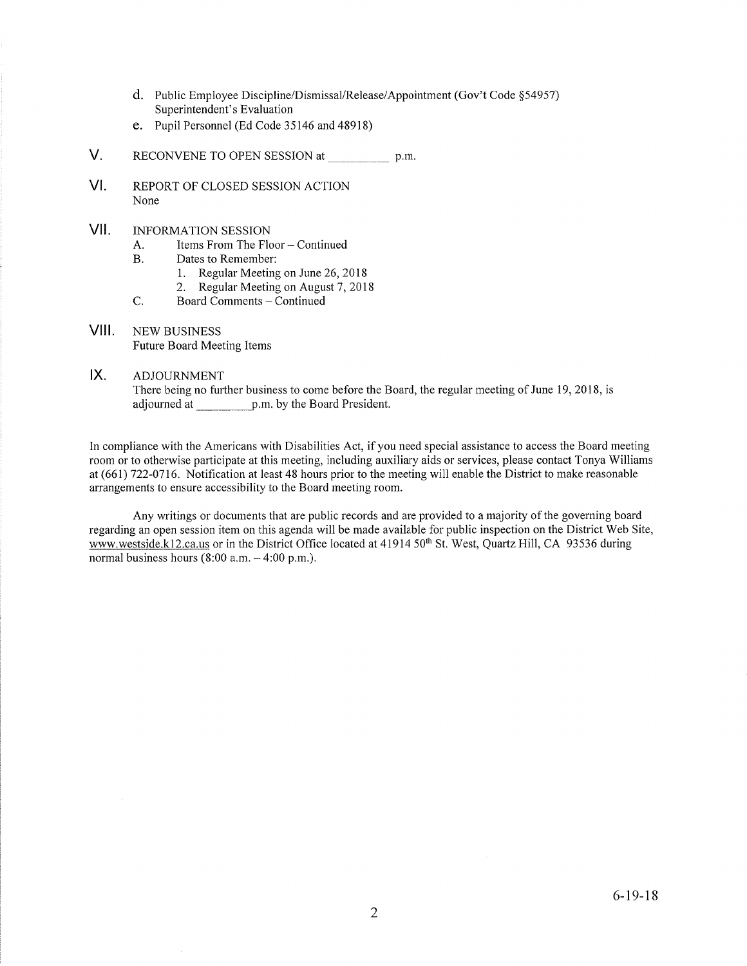- d. Public Employee Discipline/Dismissal/Release/Appointment (Gov't Code \$54957) Superintendent's Evaluation
- e. Pupil Personnel (Ed Code 35146 and 48918)
- V. RECONVENE TO OPEN SESSION at p.m.
- $VI.$ REPORT OF CLOSED SESSION ACTION None
- vil INFORMATION SESSION
	- A. Items From The Floor Continued<br>B. Dates to Remember:
	- - 1. Regular Meeting on June 26,2018
	- 2. Regular Meeting on August 7, 2018<br>C. Board Comments Continued
	-
- VIII. NEW BUSINESS Future Board Meeting Items

#### ADJOURNMENT IX

There being no further business to come before the Board, the regular meeting of June 19, 2018, is adjourned at p.m. by the Board President.

In compliance with the Americans with Disabilities Act, if you need special assistance to access the Board meeting room or to otherwise participate at this meeting, including auxiliary aids or services, please contact Tonya Williams at (661) 722-07 16. Notification at least 48 hours prior to the meeting will enable the District to make reasonable arrangements to ensure accessibility to the Board meeting room.

Any writings or documents that are public records and are provided to a majority of the governing board regarding an open session item on this agenda will be made available for public inspection on the District Web Site, www.westside.k12.ca.us or in the District Office located at 41914 50<sup>th</sup> St. West, Quartz Hill, CA 93536 during normal business hours  $(8:00 a.m. - 4:00 p.m.).$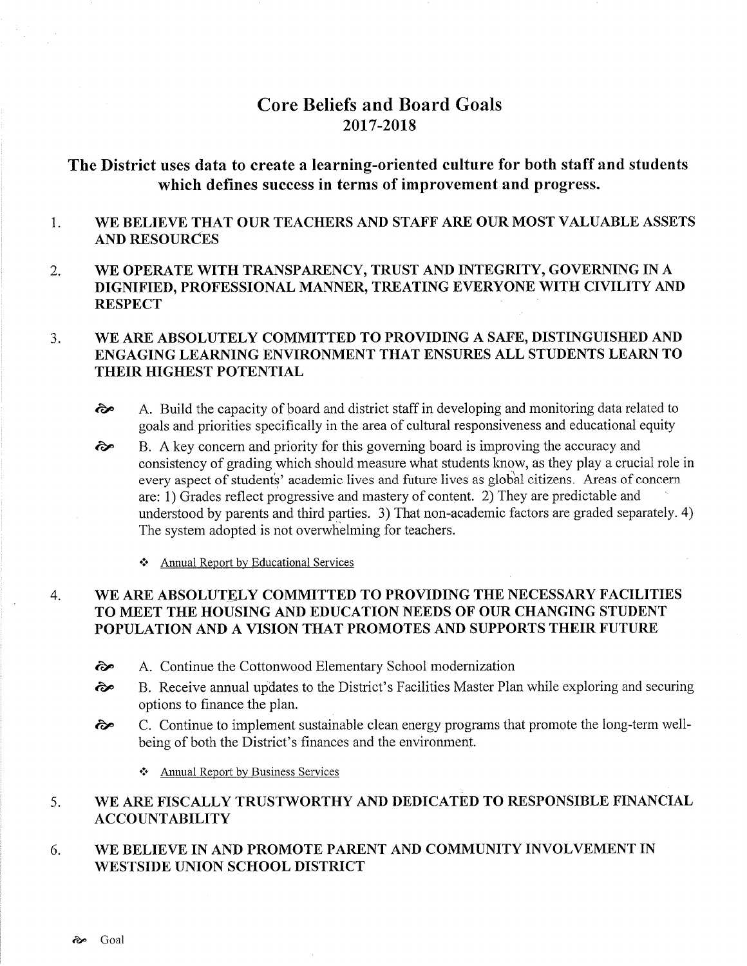# Core Beliefs and Board Goals 2017-2018

# The District uses data to create a learning-oriented culture for both staff and students which defines success in terms of improvement and progress.

#### 1 WE BELIEVE THAT OUR TEACHERS AND STAFF ARE OUR MOST VALUABLE ASSETS AND RESOURCES

2. WE OPERATE WITH TRANSPARENCY, TRUST AND INTEGRITY, GOVERNING IN A DIGNIFIED, PROFESSIONAL MANNER, TREATING EVERYONE WITH CIVILITY AND **RESPECT** 

#### $3<sub>1</sub>$ WE ARE ABSOLUTELY COMMITTED TO PROVIDING A SAFE, DISTINGUISHED AND ENGAGING LEARNING ENVIRONMENT THAT ENSURES ALL STUDENTS LEARN TO THEIR HIGHEST POTENTIAL

- $\lambda$  A. Build the capacity of board and district staff in developing and monitoring data related to goals and priorities specifically in the area of cultural responsiveness and educational equity
- B. A key concem and priority for this goveming board is improving the accuracy and consistency of grading which should measure what students know, as they play a crucial role in every aspect of students' academic lives and future lives as global citizens. Areas of concern are: 1) Grades reflect progressive and mastery of content. 2) They are predictable and understood by parents and third parties. 3) That non-academic factors are graded separately. 4) The system adopted is not overwhelming for teachers.  $\hat{\mathbf{c}}$ 
	- \* Annual Report by Educational Services

#### WE ARE ABSOLUTELY COMMITTED TO PROVIDING THE NECESSARY FACILITIES TO MEET THE HOUSING AND EDUCATION NEEDS OF OUR CHANGING STUDENT POPULATION AND A VISION THAT PROMOTES AND SUPPORTS THEIR FUTURE 4

- èp A. Continue the Cottonwood Elementary School modernization
- èp B. Receive arurual updates to the District's Facilities Master Plan while exploring and securing options to finance the plan.
- èp C. Continue to implement sustainable clean energy programs that promote the long-term wellbeing of both the District's finances and the environment.
	- \* Annual Report by Business Services

#### 5 WE ARE FISCALLY TRUSTWORTHY AND DEDICATED TO RESPONSIBLE FINANCIAL ACCOUNTABILITY

6. WE BELIEVE IN AND PROMOTE PARENT AND COMMUNITY INVOLVEMENT IN WESTSIDE UNION SCHOOL DISTRICT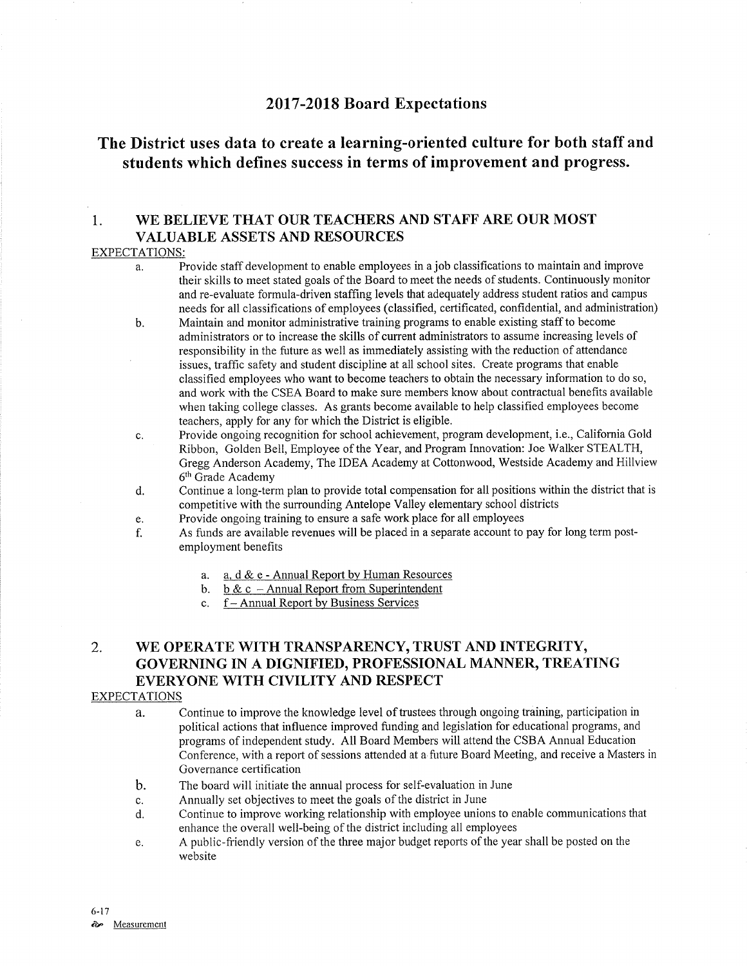### <sup>2017</sup>-2018 Board Expectations

# The District uses data to create a learning-oriented culture for both staff and students which defines success in terms of improvement and progress.

### 1. WE BELIEVE THAT OUR TEACHERS AND STAFF ARE OUR MOST VALUABLE ASSETS AND RESOURCES

#### EXPECTATIONS:

- Provide staff development to enable employees in a job classifications to maintain and improve a. their skills to meet stated goals of the Board to meet the needs of students. Continuously monitor and re-evaluate formula-driven staffing levels that adequately address student ratios and campus needs for all classifications of employees (classifred, certificated, confidential, and administration)
- Maintain and monitor administrative training programs to enable existing staff to become administrators or to increase the skills of curent administrators to assume increasing levels of responsibility in the future as well as immediately assisting with the reduction of attendance issues, traffrc safery and sfudent discipline at all school sites. Create programs that enable classified employees who want to become teachers to obtain the necessary information to do so, and work with the CSEA Board to make sure members know about contractual benefits available when taking coliege classes. As grants become available to help classified employees become teachers, apply for any for which the District is eligible. b.
- Provide ongoing recognition for school achievement, program development, i.e., California Gold  $\mathbf{c}$ . Ribbon, Golden Bell, Employee of the Year, and Program Innovation: Joe Walker STEALTH, Gregg Anderson Academy, The IDEA Academy at Cottonwood, Westside Academy and Hillview 6<sup>th</sup> Grade Academy
- Continue a long-term plan to provide total compensation for all positions within the district that is competitive with the surrounding Antelope Valley elementary school districts d.
- Provide ongoing training to ensure a safe work place for all employees e.
- As funds are available revenues will be placed in a separate account to pay for long term postemployment benefìts f.
	- a. a. d & e Annual Report by Human Resources<br>b. b & c Annual Report from Superintendent<br>c. f Annual Report by Business Services
	-
	-

# 2. WE OPERATE WITH TRANSPARENCY, TRUST AND INTEGRITY, GOVERNING IN A DIGNIFIED, PROFESSIONAL MANNER, TREATING EVERYONE WITH CIVILITY AND RESPECT

#### **EXPECTATIONS**

- a. Continue to improve the knowledge level of trustees through ongoing training, participation in political actions that influence improved funding and legislation for educational programs, and programs of independent study. All Board Members will attend the CSBA Annual Education Conference, with a report of sessions attended at a future Board Meeting, and receive a Masters in Governance certification
- b. The board will initiate the annual process for self-evaluation in June
- c. Annually set objectives to meet the goals of the district in June
- d. Continue to improve working relationship with employee unions to enable communications that enhance the overall well-being of the district including all employees
- e. A public-friendly version of the three major budget reports of the year shall be posted on the website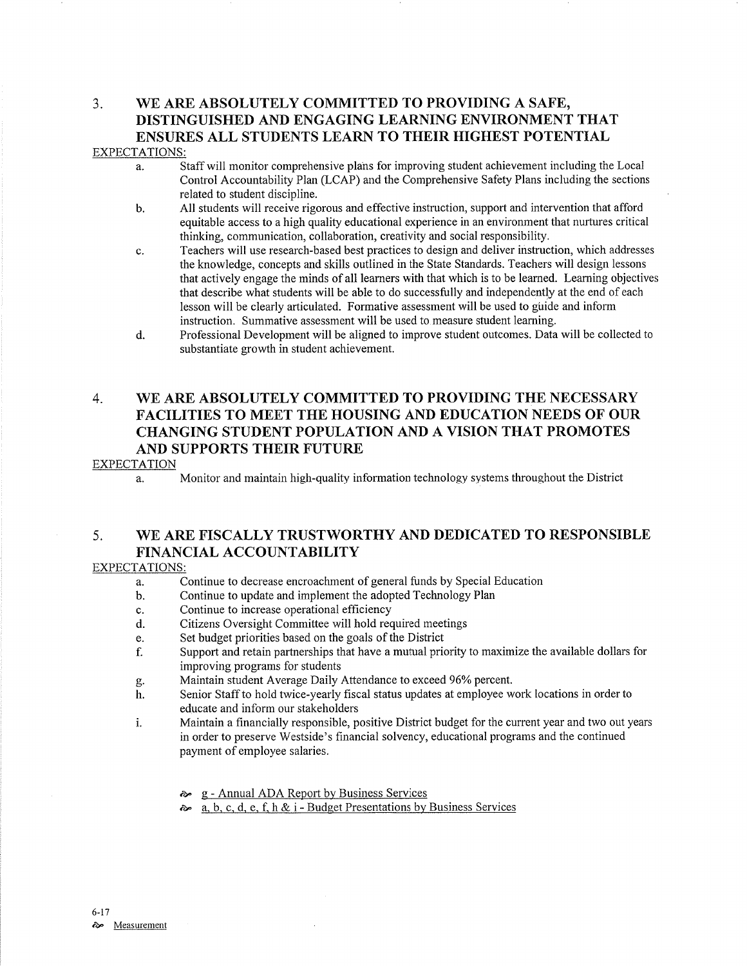# 3. \ryE ARE ABSOLUTELY COMMITTED TO PROVIDING A SAFE, DISTINGUISHED AND ENGAGING LEARNING ENVIRONMENT THAT ENSURES ALL STUDENTS LEARN TO THEIR HIGHEST POTENTIAL

#### EXPECTATIONS:

- a. Staff will monitor comprehensive plans for improving student achievement including the Local Control Accountability Plan (LCAP) and the Comprehensive Safety Plans including the sections related to student discipline.
- b. All students will receive rigorous and effective instruction, support and intervention that afford equitable access to a high quality educational experience in an environment that nurtures critical thinking, communication, collaboration, creativity and social responsibility.
- c. Teachers will use research-based best practices to design and deliver instruction, which addresses the knowledge, concepts and skills outlined in the State Standards. Teachers will design lessons that actively engage the minds of all leamers with that which is to be learned. Learning objectives that describe what students will be able to do successfully and independently at the end of each lesson will be clearly articulated. Formative assessment will be used to gûide and inform instruction. Summative assessment will be used to measure student learning.
- d. Professional Development will be aligned to improve student outcomes. Data will be collected to substantiate growth in student achievement.

## 4. WE ARE ABSOLUTELY COMMITTED TO PROVIDING THE NECESSARY FACILITIES TO MEET THE HOUSING AND EDUCATION NEEDS OF OUR CHANGING STUDENT POPULATION AND A VISION THAT PROMOTES AND SUPPORTS THEIR FUTURE

#### EXPECTATION

a. Monitor and maintain high-quality information technology systems throughout the District

### 5. WE ARE FISCALLY TRUSTWORTHY AND DEDICATED TO RESPONSIBLE FINANCIAL ACCOUNTABILITY

#### EXPECTATIONS:

- a. Continue to decrease encroachment of general funds by Special Education
- b. Continue to update and implement the adopted Technology Plan
- c. Continue to increase operational efficiency
- d. Citizens Oversight Committee will hold required meetings<br>e. Set budget priorities based on the goals of the District
- 
- e. Set budget priorities based on the goals of the District ending the state in Support and retain partnerships that have a mutual priority to maximize the available dollars for improving programs for students
- 
- g. Maintain student Average Daily Attendance to exceed 96% percent.<br>h. Senior Staff to hold twice-yearly fiscal status updates at employee work locations in order to educate and inform our stakeholders
- i. Maintain a financially responsible, positive District budget for the current year and two out years in order to preserve Westside's financial solvency, educational programs and the continued payment of employee salaries.
	-
	- **a.** g Annual ADA Report by Business Services **a.** b. c, d, e, f, h & i Budget Presentations by Business Services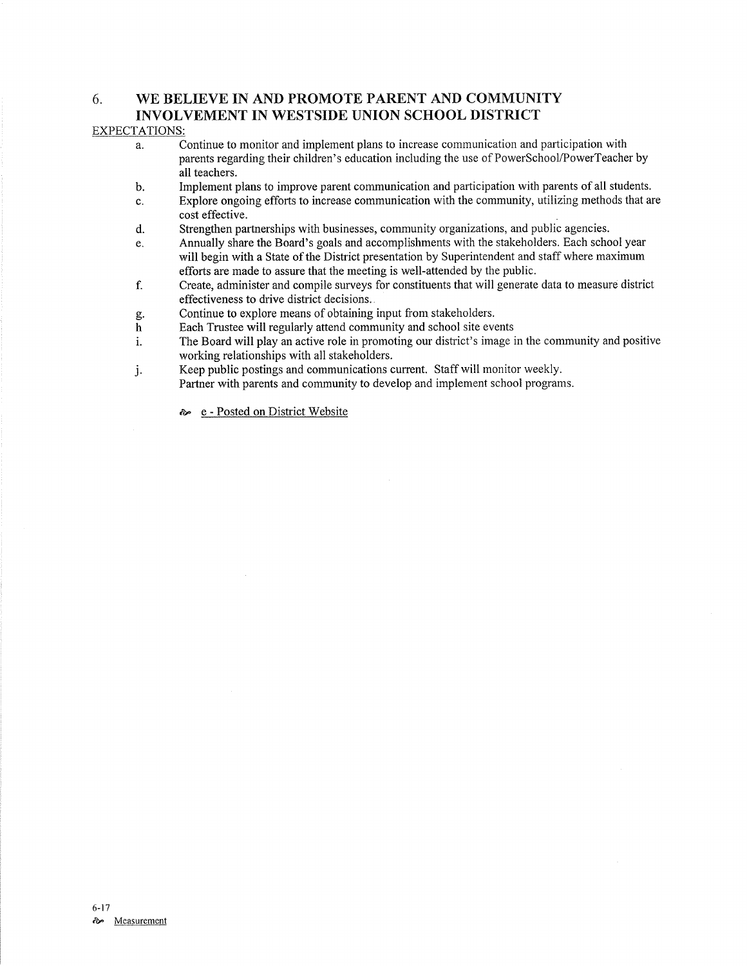#### 6. WE BELIEVE IN AND PROMOTE PARENT AND COMMUNITY INVOLVEMENT IN WESTSIDE UNION SCHOOL DISTRICT

#### EXPECTATIONS:

- a. Continue to monitor and implement plans to increase communication and participation with parents regarding their children's education including the use of PowerSchool/PowerTeacher by all teachers.
- b. Implement plans to improve parent communication and participation with parents of all students.
- c. Explore ongoing efforts to increase communication with the community, utilizing methods that are cost effective.
- d. Strengthen partnerships with businesses, community organizations, and public agencies.
- Annually share the Board's goals and accomplishments with the stakeholders. Each school year e. will begin with a State of the District presentation by Superintendent and staff where maximum efforts are made to assure that the meeting is well-attended by the public.
- Create, administer and compile surveys for constituents that will generate data to measure district effectiveness to drive district decisions. f.
- Continue to explore means of obtaining input from stakeholders. g.
- Each Trustee will regularly attend community and school site events h
- The Board will play an active role in promoting our district's image in the community and positive working relationships with all stakeholders. i.
- Keep public postings and communications current. Staff will monitor weekly. j. Partner with parents and community to develop and implement school programs.

a" e - Posted on District Website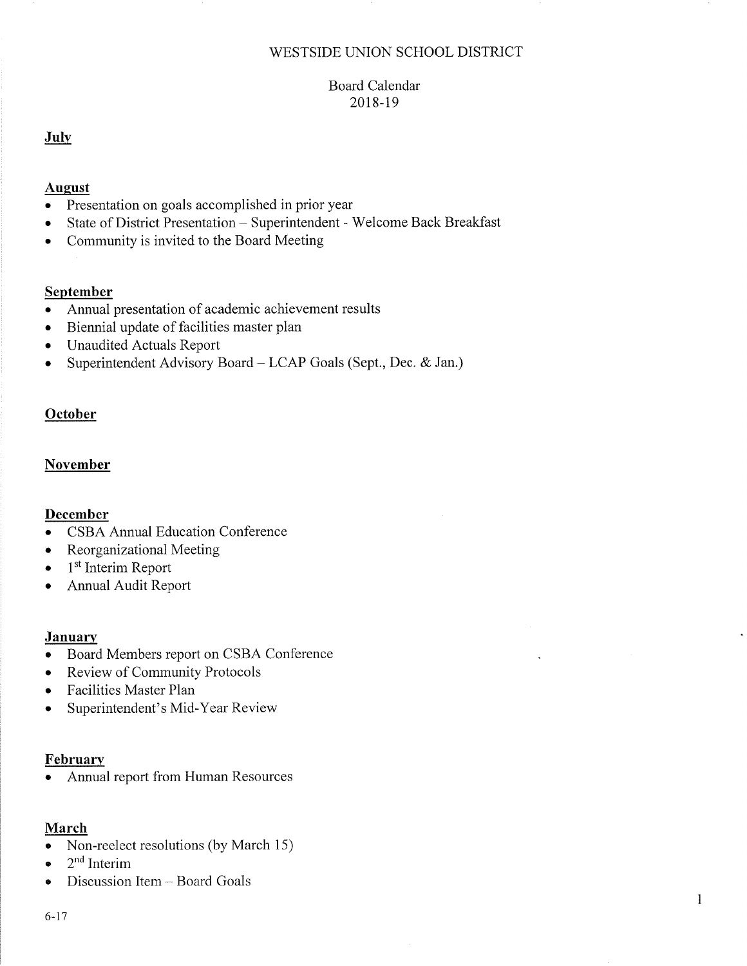### V/ESTSIDE UNION SCHOOL DISTRICT

## Board Calendar 2018-19

### July

#### August

- Presentation on goals accomplished in prior year
- . State of District Presentation Superintendent 'Welcome Back Breakfast
- Community is invited to the Board Meeting

## September

- a Annual presentation of academic achievement results
- a Biennial update of facilities master plan
- a Unaudited Actuals Report
- a Superintendent Advisory Board - LCAP Goals (Sept., Dec. & Jan.)

# **October**

## November

## December

- . CSBA Annual Education Conference
- Reorganizational Meeting
- $\bullet$  1<sup>st</sup> Interim Report
- . Annual Audit Reporl

## **January**

- o Board Members report on CSBA Conference
- . Review of Community Protocols
- Facilities Master Plan
- Superintendent's Mid-Year Review

## February

. Annual report from Human Resources

## March

- Non-reelect resolutions (by March 15)
- $2<sup>nd</sup>$  Interim
- Discussion Item Board Goals